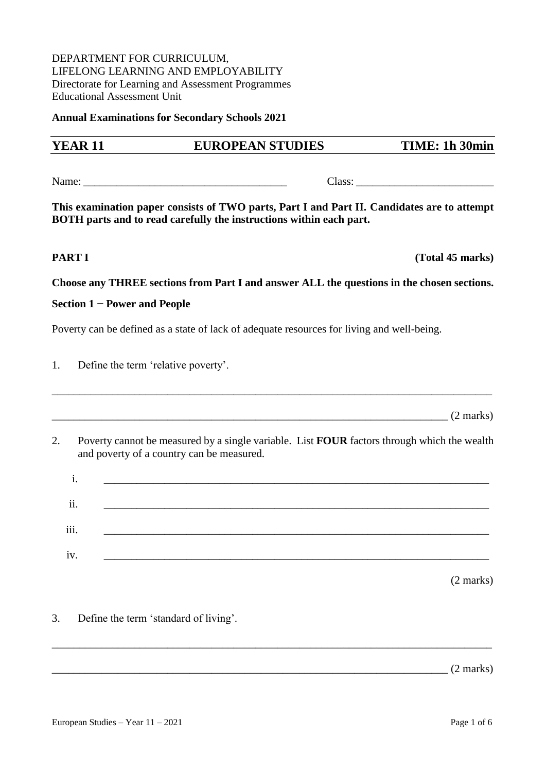#### DEPARTMENT FOR CURRICULUM, LIFELONG LEARNING AND EMPLOYABILITY Directorate for Learning and Assessment Programmes Educational Assessment Unit

**Annual Examinations for Secondary Schools 2021**

# **YEAR 11 EUROPEAN STUDIES TIME: 1h 30min**  Name: \_\_\_\_\_\_\_\_\_\_\_\_\_\_\_\_\_\_\_\_\_\_\_\_\_\_\_\_\_\_\_\_\_\_\_\_\_ Class: \_\_\_\_\_\_\_\_\_\_\_\_\_\_\_\_\_\_\_\_\_\_\_\_\_ **This examination paper consists of TWO parts, Part I and Part II. Candidates are to attempt BOTH parts and to read carefully the instructions within each part. PART I** (Total 45 marks) **Choose any THREE sections from Part I and answer ALL the questions in the chosen sections. Section 1 − Power and People** Poverty can be defined as a state of lack of adequate resources for living and well-being. 1. Define the term 'relative poverty'. \_\_\_\_\_\_\_\_\_\_\_\_\_\_\_\_\_\_\_\_\_\_\_\_\_\_\_\_\_\_\_\_\_\_\_\_\_\_\_\_\_\_\_\_\_\_\_\_\_\_\_\_\_\_\_\_\_\_\_\_\_\_\_\_\_\_\_\_\_\_\_\_\_\_\_\_\_\_\_\_  $(2 \text{ marks})$ 2. Poverty cannot be measured by a single variable. List **FOUR** factors through which the wealth and poverty of a country can be measured. i. \_\_\_\_\_\_\_\_\_\_\_\_\_\_\_\_\_\_\_\_\_\_\_\_\_\_\_\_\_\_\_\_\_\_\_\_\_\_\_\_\_\_\_\_\_\_\_\_\_\_\_\_\_\_\_\_\_\_\_\_\_\_\_\_\_\_\_\_\_\_ ii. \_\_\_\_\_\_\_\_\_\_\_\_\_\_\_\_\_\_\_\_\_\_\_\_\_\_\_\_\_\_\_\_\_\_\_\_\_\_\_\_\_\_\_\_\_\_\_\_\_\_\_\_\_\_\_\_\_\_\_\_\_\_\_\_\_\_\_\_\_\_ ...<br>iii. iv. \_\_\_\_\_\_\_\_\_\_\_\_\_\_\_\_\_\_\_\_\_\_\_\_\_\_\_\_\_\_\_\_\_\_\_\_\_\_\_\_\_\_\_\_\_\_\_\_\_\_\_\_\_\_\_\_\_\_\_\_\_\_\_\_\_\_\_\_\_\_ (2 marks) 3. Define the term 'standard of living'. \_\_\_\_\_\_\_\_\_\_\_\_\_\_\_\_\_\_\_\_\_\_\_\_\_\_\_\_\_\_\_\_\_\_\_\_\_\_\_\_\_\_\_\_\_\_\_\_\_\_\_\_\_\_\_\_\_\_\_\_\_\_\_\_\_\_\_\_\_\_\_\_\_\_\_\_\_\_\_\_  $(2 \text{ marks})$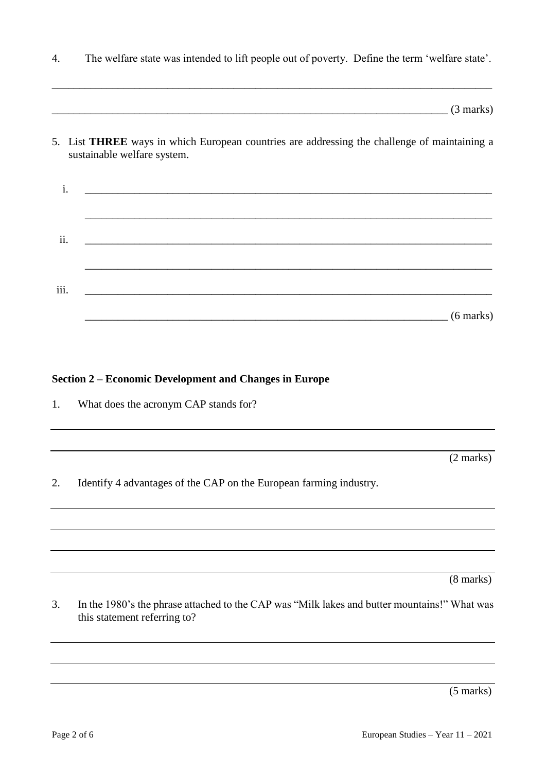4. The welfare state was intended to lift people out of poverty. Define the term 'welfare state'.

\_\_\_\_\_\_\_\_\_\_\_\_\_\_\_\_\_\_\_\_\_\_\_\_\_\_\_\_\_\_\_\_\_\_\_\_\_\_\_\_\_\_\_\_\_\_\_\_\_\_\_\_\_\_\_\_\_\_\_\_\_\_\_\_\_\_\_\_\_\_\_\_\_\_\_\_\_\_\_\_

 $(3 \text{ marks})$ 

5. List **THREE** ways in which European countries are addressing the challenge of maintaining a sustainable welfare system.

| ii.  |  |                     |
|------|--|---------------------|
|      |  |                     |
| iii. |  |                     |
|      |  | $(6 \text{ marks})$ |

#### **Section 2 – Economic Development and Changes in Europe**

1. What does the acronym CAP stands for?

(2 marks)

2. Identify 4 advantages of the CAP on the European farming industry.

(8 marks)

3. In the 1980's the phrase attached to the CAP was "Milk lakes and butter mountains!" What was this statement referring to?

(5 marks)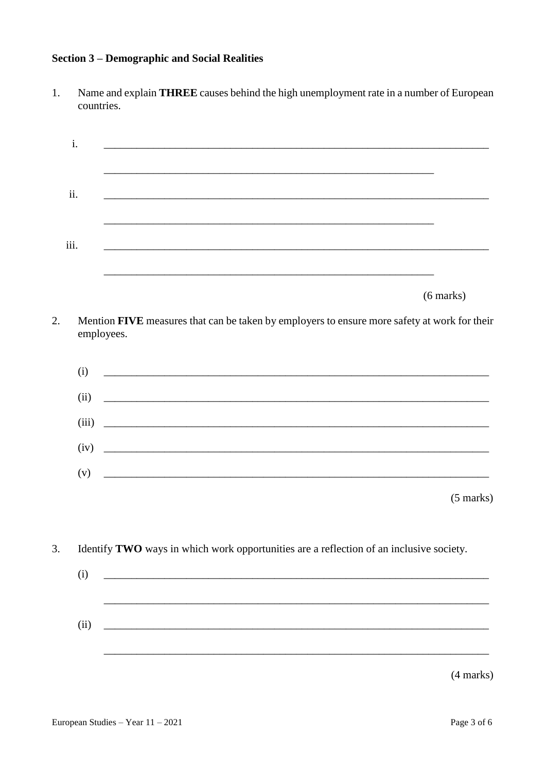# **Section 3 – Demographic and Social Realities**

 $1.$ Name and explain THREE causes behind the high unemployment rate in a number of European countries.

|      | i.    | <u> 1999 - Johann Barn, fransk politik (d. 1989)</u>                                                                                                                                                                                      |
|------|-------|-------------------------------------------------------------------------------------------------------------------------------------------------------------------------------------------------------------------------------------------|
| ii.  |       | and the control of the control of the control of the control of the control of the control of the control of the                                                                                                                          |
| iii. |       | and the control of the control of the control of the control of the control of the control of the control of the<br><u> 1989 - Johann Stoff, deutscher Stoffen und der Stoffen und der Stoffen und der Stoffen und der Stoffen und de</u> |
|      |       | <u> 1989 - Andrea Santana, amerikana amerikana amerikana amerikana amerikana amerikana amerikana amerikana amerika</u><br>$(6 \text{ marks})$                                                                                             |
| 2.   |       | Mention FIVE measures that can be taken by employers to ensure more safety at work for their<br>employees.                                                                                                                                |
|      | (i)   |                                                                                                                                                                                                                                           |
|      | (ii)  |                                                                                                                                                                                                                                           |
|      | (iii) |                                                                                                                                                                                                                                           |
|      | (iv)  |                                                                                                                                                                                                                                           |
|      | (v)   | <u> 2008 - Jan James James Barnett, amerikansk politik (d. 1888)</u>                                                                                                                                                                      |
|      |       | $(5 \text{ marks})$                                                                                                                                                                                                                       |
| 3.   |       | Identify TWO ways in which work opportunities are a reflection of an inclusive society.                                                                                                                                                   |
|      | (i)   |                                                                                                                                                                                                                                           |
|      | (ii)  |                                                                                                                                                                                                                                           |
|      |       | (4 marks)                                                                                                                                                                                                                                 |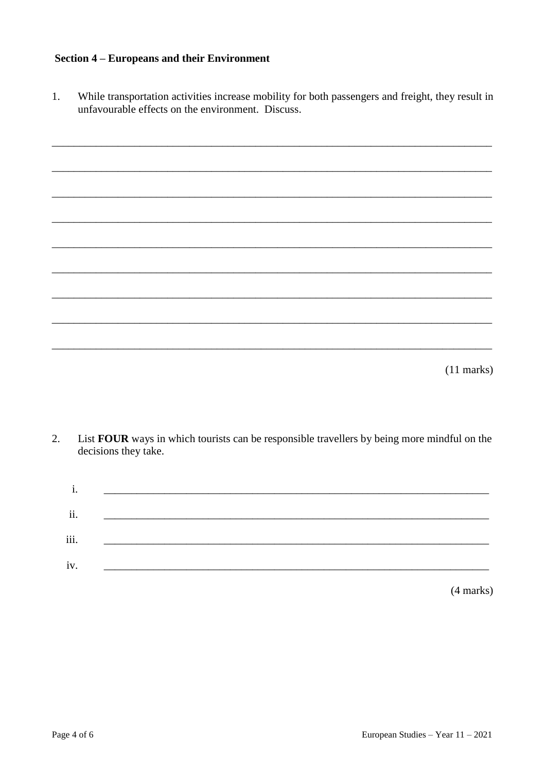### **Section 4 – Europeans and their Environment**

While transportation activities increase mobility for both passengers and freight, they result in unfavourable effects on the environment. Discuss.  $1.$ 

| $(11$ marks) |  |  |  |
|--------------|--|--|--|
|              |  |  |  |
|              |  |  |  |
|              |  |  |  |
|              |  |  |  |
|              |  |  |  |
|              |  |  |  |
|              |  |  |  |
|              |  |  |  |
|              |  |  |  |
|              |  |  |  |
|              |  |  |  |
|              |  |  |  |
|              |  |  |  |
|              |  |  |  |
|              |  |  |  |
|              |  |  |  |
|              |  |  |  |
|              |  |  |  |
|              |  |  |  |
|              |  |  |  |
|              |  |  |  |
|              |  |  |  |
|              |  |  |  |
|              |  |  |  |
|              |  |  |  |
|              |  |  |  |
|              |  |  |  |
|              |  |  |  |
|              |  |  |  |
|              |  |  |  |
|              |  |  |  |
|              |  |  |  |

 $\overline{2}$ . List FOUR ways in which tourists can be responsible travellers by being more mindful on the decisions they take.

| 1.   |  |  |
|------|--|--|
| ii.  |  |  |
| iii. |  |  |
| iv.  |  |  |
|      |  |  |

 $(4 marks)$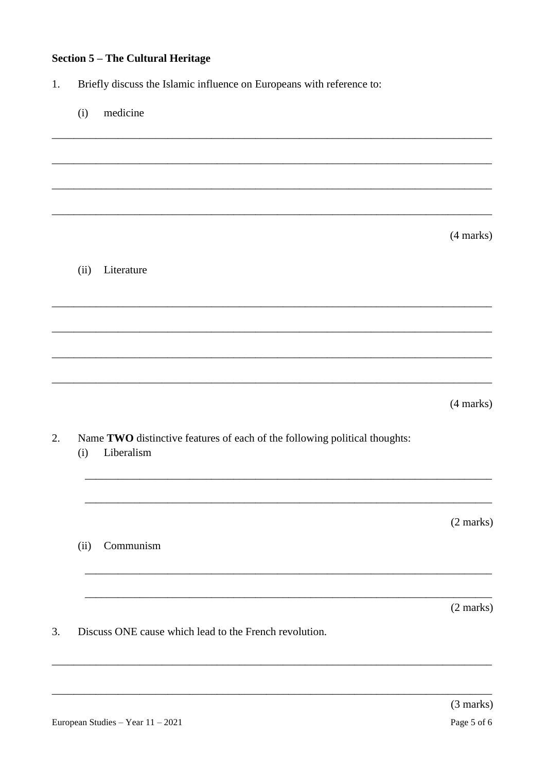# **Section 5 - The Cultural Heritage**

Briefly discuss the Islamic influence on Europeans with reference to:  $1.$ 

| (i)  | medicine                                                                                 |           |
|------|------------------------------------------------------------------------------------------|-----------|
|      |                                                                                          |           |
|      |                                                                                          |           |
|      |                                                                                          |           |
|      |                                                                                          | (4 marks) |
| (ii) | Literature                                                                               |           |
|      |                                                                                          |           |
|      |                                                                                          |           |
|      |                                                                                          |           |
|      |                                                                                          | (4 marks) |
| (i)  | Name TWO distinctive features of each of the following political thoughts:<br>Liberalism |           |
|      |                                                                                          | (2 marks) |
| (ii) | Communism                                                                                |           |
|      |                                                                                          |           |
|      |                                                                                          | (2 marks) |
|      | Discuss ONE cause which lead to the French revolution.                                   |           |